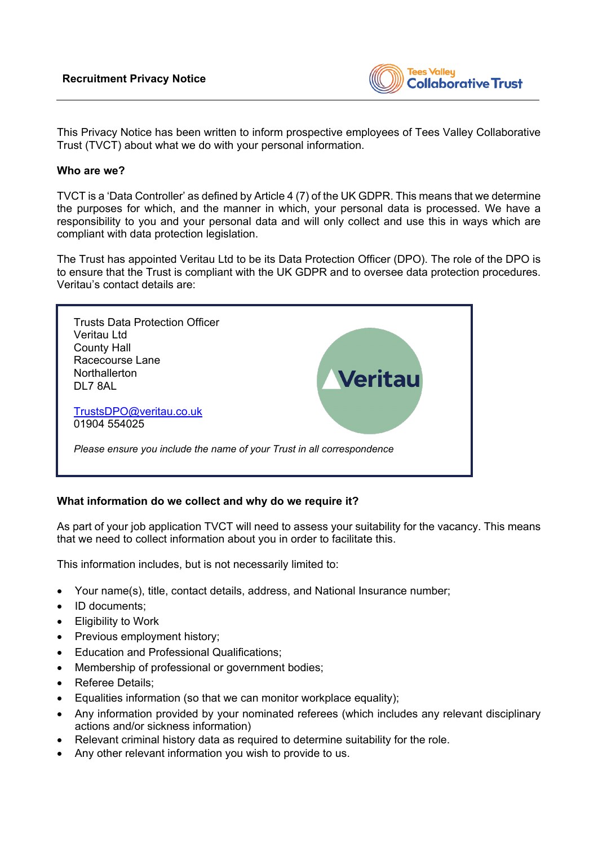

This Privacy Notice has been written to inform prospective employees of Tees Valley Collaborative Trust (TVCT) about what we do with your personal information.

#### **Who are we?**

TVCT is a 'Data Controller' as defined by Article 4 (7) of the UK GDPR. This means that we determine the purposes for which, and the manner in which, your personal data is processed. We have a responsibility to you and your personal data and will only collect and use this in ways which are compliant with data protection legislation.

The Trust has appointed Veritau Ltd to be its Data Protection Officer (DPO). The role of the DPO is to ensure that the Trust is compliant with the UK GDPR and to oversee data protection procedures. Veritau's contact details are:



### **What information do we collect and why do we require it?**

As part of your job application TVCT will need to assess your suitability for the vacancy. This means that we need to collect information about you in order to facilitate this.

This information includes, but is not necessarily limited to:

- Your name(s), title, contact details, address, and National Insurance number;
- ID documents:
- Eligibility to Work
- Previous employment history;
- Education and Professional Qualifications;
- Membership of professional or government bodies;
- Referee Details;
- Equalities information (so that we can monitor workplace equality);
- Any information provided by your nominated referees (which includes any relevant disciplinary actions and/or sickness information)
- Relevant criminal history data as required to determine suitability for the role.
- Any other relevant information you wish to provide to us.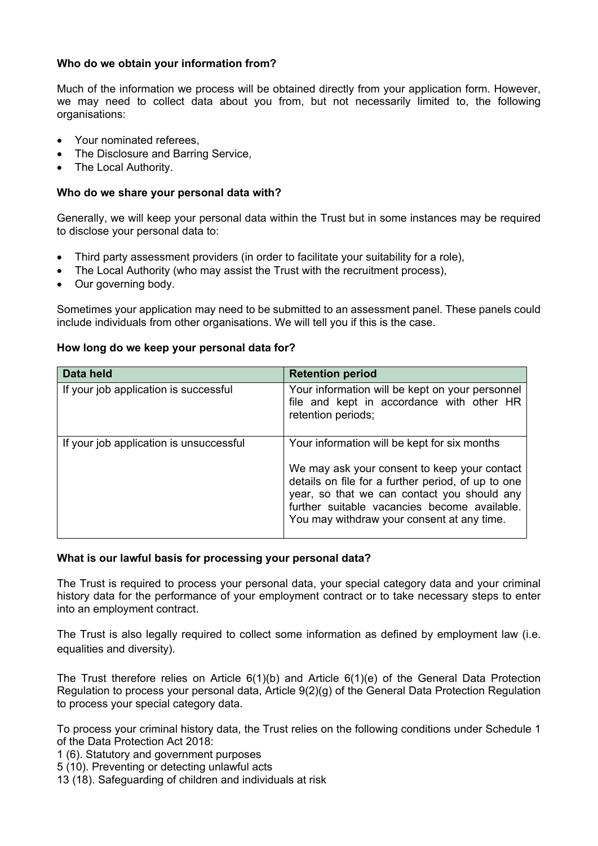# **Who do we obtain your information from?**

Much of the information we process will be obtained directly from your application form. However, we may need to collect data about you from, but not necessarily limited to, the following organisations:

- Your nominated referees,
- The Disclosure and Barring Service,
- The Local Authority.

# **Who do we share your personal data with?**

Generally, we will keep your personal data within the Trust but in some instances may be required to disclose your personal data to:

- Third party assessment providers (in order to facilitate your suitability for a role),
- The Local Authority (who may assist the Trust with the recruitment process).
- Our governing body.

Sometimes your application may need to be submitted to an assessment panel. These panels could include individuals from other organisations. We will tell you if this is the case.

### **How long do we keep your personal data for?**

| Data held                               | <b>Retention period</b>                                                                                                                                                                                                                                                                         |
|-----------------------------------------|-------------------------------------------------------------------------------------------------------------------------------------------------------------------------------------------------------------------------------------------------------------------------------------------------|
| If your job application is successful   | Your information will be kept on your personnel<br>file and kept in accordance with other HR<br>retention periods;                                                                                                                                                                              |
| If your job application is unsuccessful | Your information will be kept for six months<br>We may ask your consent to keep your contact<br>details on file for a further period, of up to one<br>year, so that we can contact you should any<br>further suitable vacancies become available.<br>You may withdraw your consent at any time. |

### **What is our lawful basis for processing your personal data?**

The Trust is required to process your personal data, your special category data and your criminal history data for the performance of your employment contract or to take necessary steps to enter into an employment contract.

The Trust is also legally required to collect some information as defined by employment law (i.e. equalities and diversity).

The Trust therefore relies on Article 6(1)(b) and Article 6(1)(e) of the General Data Protection Regulation to process your personal data, Article 9(2)(g) of the General Data Protection Regulation to process your special category data.

To process your criminal history data, the Trust relies on the following conditions under Schedule 1 of the Data Protection Act 2018:

1 (6). Statutory and government purposes

5 (10). Preventing or detecting unlawful acts

13 (18). Safeguarding of children and individuals at risk